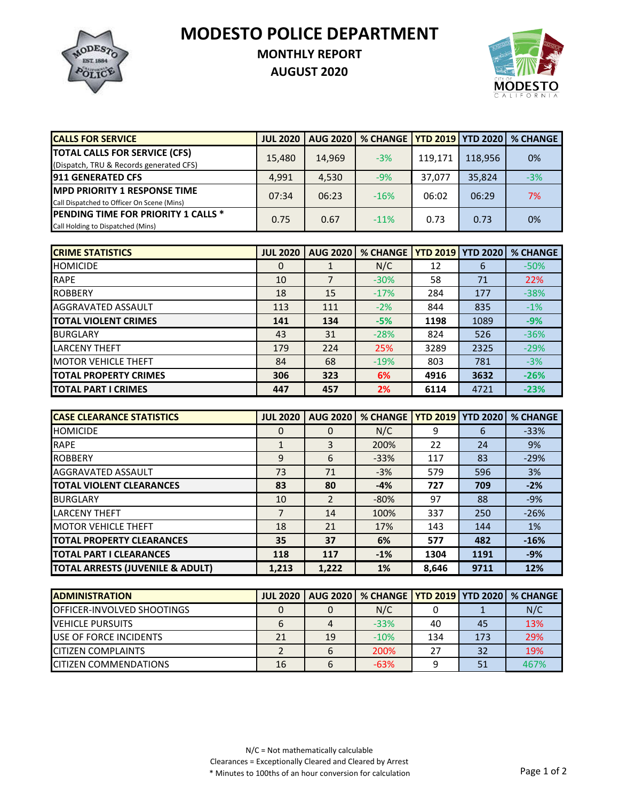**MODESTO POLICE DEPARTMENT**



## **MONTHLY REPORT**

**AUGUST 2020**



| <b>CALLS FOR SERVICE</b>                   | <b>JUL 2020</b> | <b>AUG 2020</b> | % CHANGE   YTD 2019   YTD 2020 |         |         | <b>% CHANGE</b> |
|--------------------------------------------|-----------------|-----------------|--------------------------------|---------|---------|-----------------|
| <b>TOTAL CALLS FOR SERVICE (CFS)</b>       | 15.480          | 14.969          | $-3%$                          | 119.171 | 118.956 | 0%              |
| (Dispatch, TRU & Records generated CFS)    |                 |                 |                                |         |         |                 |
| <b>911 GENERATED CFS</b>                   | 4.991           | 4.530           | $-9%$                          | 37.077  | 35.824  | $-3%$           |
| <b>MPD PRIORITY 1 RESPONSE TIME</b>        | 07:34           | 06:23           | $-16%$                         | 06:02   | 06:29   | 7%              |
| Call Dispatched to Officer On Scene (Mins) |                 |                 |                                |         |         |                 |
| <b>PENDING TIME FOR PRIORITY 1 CALLS *</b> | 0.75            | 0.67            | $-11%$                         | 0.73    | 0.73    | 0%              |
| Call Holding to Dispatched (Mins)          |                 |                 |                                |         |         |                 |

| <b>CRIME STATISTICS</b>      | <b>JUL 2020</b> | <b>AUG 2020</b> | % CHANGE |      | <b>YTD 2019 YTD 2020</b> | <b>% CHANGE</b> |
|------------------------------|-----------------|-----------------|----------|------|--------------------------|-----------------|
| <b>HOMICIDE</b>              | 0               |                 | N/C      | 12   | 6                        | $-50%$          |
| <b>RAPE</b>                  | 10              |                 | $-30%$   | 58   | 71                       | 22%             |
| <b>ROBBERY</b>               | 18              | 15              | $-17%$   | 284  | 177                      | $-38%$          |
| AGGRAVATED ASSAULT           | 113             | 111             | $-2%$    | 844  | 835                      | $-1%$           |
| <b>TOTAL VIOLENT CRIMES</b>  | 141             | 134             | $-5%$    | 1198 | 1089                     | $-9%$           |
| <b>BURGLARY</b>              | 43              | 31              | $-28%$   | 824  | 526                      | $-36%$          |
| <b>ILARCENY THEFT</b>        | 179             | 224             | 25%      | 3289 | 2325                     | $-29%$          |
| <b>MOTOR VEHICLE THEFT</b>   | 84              | 68              | $-19%$   | 803  | 781                      | $-3%$           |
| <b>TOTAL PROPERTY CRIMES</b> | 306             | 323             | 6%       | 4916 | 3632                     | $-26%$          |
| <b>ITOTAL PART I CRIMES</b>  | 447             | 457             | 2%       | 6114 | 4721                     | $-23%$          |

| <b>CASE CLEARANCE STATISTICS</b>            | <b>JUL 2020</b> | <b>AUG 2020</b> | <b>% CHANGE</b> |       | <b>YTD 2019 YTD 2020</b> | % CHANGE  |
|---------------------------------------------|-----------------|-----------------|-----------------|-------|--------------------------|-----------|
| <b>HOMICIDE</b>                             | 0               | $\Omega$        | N/C             | 9     | 6                        | $-33%$    |
| <b>RAPE</b>                                 |                 | 3               | 200%            | 22    | 24                       | 9%        |
| <b>ROBBERY</b>                              | 9               | 6               | $-33%$          | 117   | 83                       | $-29%$    |
| AGGRAVATED ASSAULT                          | 73              | 71              | $-3%$           | 579   | 596                      | 3%        |
| <b>TOTAL VIOLENT CLEARANCES</b>             | 83              | 80              | $-4%$           | 727   | 709                      | $-2%$     |
| <b>BURGLARY</b>                             | 10              | $\mathcal{P}$   | $-80%$          | 97    | 88                       | $-9%$     |
| <b>LARCENY THEFT</b>                        |                 | 14              | 100%            | 337   | 250                      | $-26%$    |
| <b>MOTOR VEHICLE THEFT</b>                  | 18              | 21              | 17%             | 143   | 144                      | <b>1%</b> |
| <b>TOTAL PROPERTY CLEARANCES</b>            | 35              | 37              | 6%              | 577   | 482                      | $-16%$    |
| <b>TOTAL PART I CLEARANCES</b>              | 118             | 117             | $-1%$           | 1304  | 1191                     | $-9%$     |
| <b>TOTAL ARRESTS (JUVENILE &amp; ADULT)</b> | 1,213           | 1,222           | 1%              | 8.646 | 9711                     | 12%       |

| <b>IADMINISTRATION</b>             | <b>JUL 2020</b> |    | AUG 2020   % CHANGE   YTD 2019   YTD 2020   % CHANGE |     |     |      |
|------------------------------------|-----------------|----|------------------------------------------------------|-----|-----|------|
| <b>IOFFICER-INVOLVED SHOOTINGS</b> |                 |    | N/C                                                  |     |     | N/C  |
| <b>IVEHICLE PURSUITS</b>           |                 |    | $-33%$                                               | 40  | 45  | 13%  |
| <b>IUSE OF FORCE INCIDENTS</b>     | 21              | 19 | $-10%$                                               | 134 | 173 | 29%  |
| <b>ICITIZEN COMPLAINTS</b>         |                 |    | 200%                                                 | 27  | 32  | 19%  |
| <b>ICITIZEN COMMENDATIONS</b>      | 16              |    | $-63%$                                               |     | 51  | 467% |